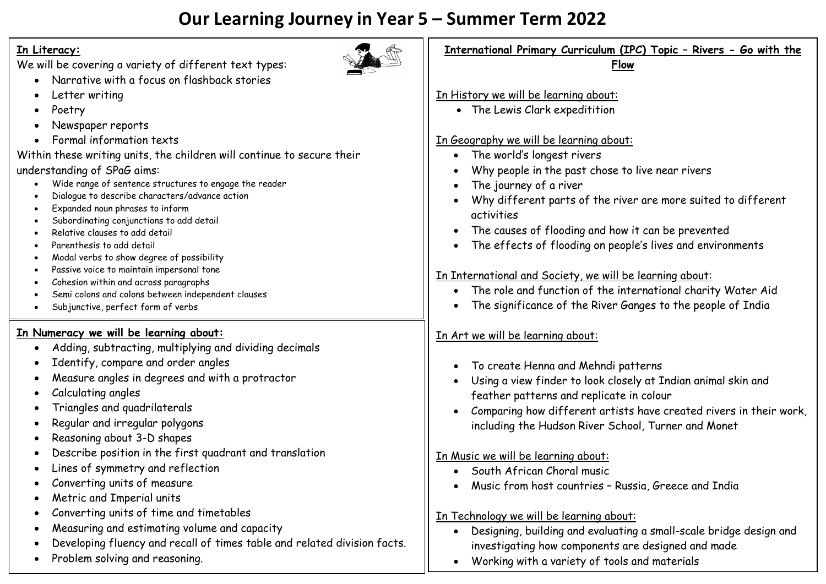## **Our Learning Journey in Year 5 – Summer Term 2022**

## **In Literacy:**

We will be covering a variety of different text types:

- Narrative with a focus on flashback stories
- Letter writing
- Poetry
- Newspaper reports
- Formal information texts

Within these writing units, the children will continue to secure their understanding of SPaG aims:

- Wide range of sentence structures to engage the reader
- Dialogue to describe characters/advance action
- Expanded noun phrases to inform
- Subordinating conjunctions to add detail
- Relative clauses to add detail
- Parenthesis to add detail
- Modal verbs to show degree of possibility
- Passive voice to maintain impersonal tone
- Cohesion within and across paragraphs
- Semi colons and colons between independent clauses
- Subjunctive, perfect form of verbs

## **In Numeracy we will be learning about:**

- Adding, subtracting, multiplying and dividing decimals
- Identify, compare and order angles
- Measure angles in degrees and with a protractor
- Calculating angles
- Triangles and quadrilaterals
- Regular and irregular polygons
- Reasoning about 3-D shapes
- Describe position in the first quadrant and translation
- Lines of symmetry and reflection
- Converting units of measure
- Metric and Imperial units
- Converting units of time and timetables
- Measuring and estimating volume and capacity
- Developing fluency and recall of times table and related division facts.
- Problem solving and reasoning.

| International Primary Curriculum (IPC) Topic - Rivers - Go with the<br>Flow |
|-----------------------------------------------------------------------------|
|                                                                             |
| In History we will be learning about:                                       |
| • The Lewis Clark expeditition                                              |
| In Geography we will be learning about:                                     |
| The world's longest rivers                                                  |
| Why people in the past chose to live near rivers                            |
| The journey of a river                                                      |
| Why different parts of the river are more suited to different<br>activities |
| • The causes of flooding and how it can be prevented                        |
| The effects of flooding on people's lives and environments                  |
| In International and Society, we will be learning about:                    |
| The role and function of the international charity Water Aid                |
| The significance of the River Ganges to the people of India                 |
|                                                                             |
| In Art we will be learning about:                                           |
| To create Henna and Mehndi patterns                                         |
| Using a view finder to look closely at Indian animal skin and               |
| feather patterns and replicate in colour                                    |
| Comparing how different artists have created rivers in their work,          |
| including the Hudson River School, Turner and Monet                         |
| In Music we will be learning about:                                         |
| South African Choral music                                                  |
| Music from host countries - Russia, Greece and India                        |
| In Technology we will be learning about:                                    |
| Designing, building and evaluating a small-scale bridge design and          |
|                                                                             |

investigating how components are designed and made Working with a variety of tools and materials